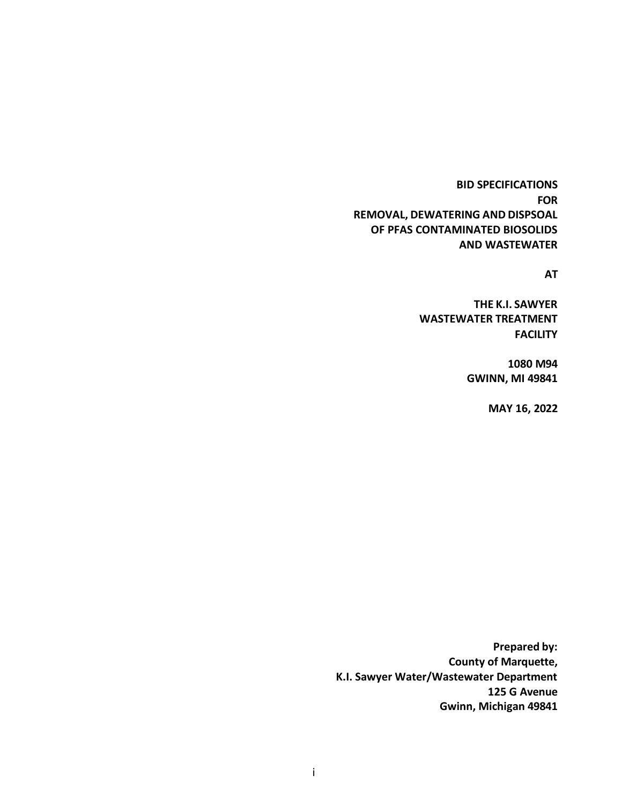**BID SPECIFICATIONS FOR REMOVAL, DEWATERING AND DISPSOAL OF PFAS CONTAMINATED BIOSOLIDS AND WASTEWATER**

**AT**

**THE K.I. SAWYER WASTEWATER TREATMENT FACILITY**

> **1080 M94 GWINN, MI 49841**

> > **MAY 16, 2022**

**Prepared by: County of Marquette, K.I. Sawyer Water/Wastewater Department 125 G Avenue Gwinn, Michigan 49841**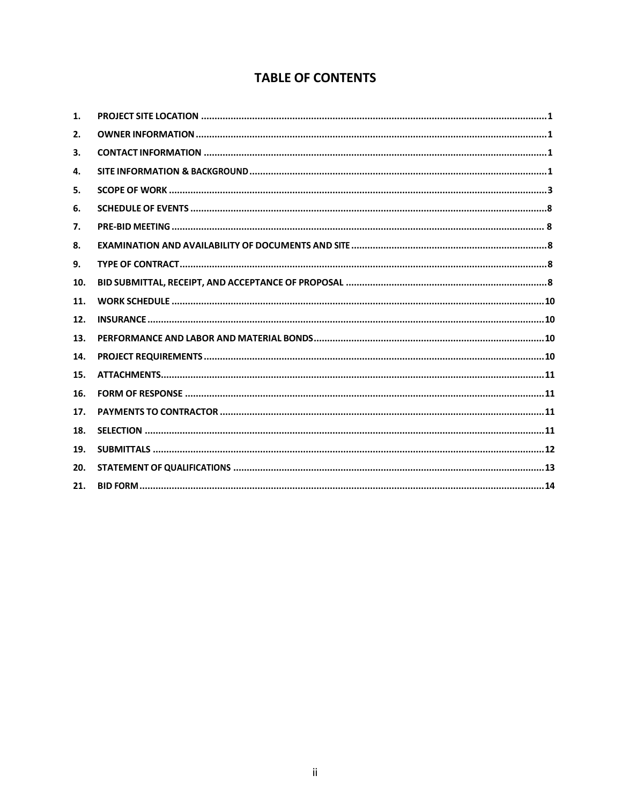# **TABLE OF CONTENTS**

| 1.  |  |
|-----|--|
| 2.  |  |
| 3.  |  |
| 4.  |  |
| 5.  |  |
| 6.  |  |
| 7.  |  |
| 8.  |  |
| 9.  |  |
| 10. |  |
| 11. |  |
| 12. |  |
| 13. |  |
| 14. |  |
| 15. |  |
| 16. |  |
| 17. |  |
| 18. |  |
| 19. |  |
| 20. |  |
| 21. |  |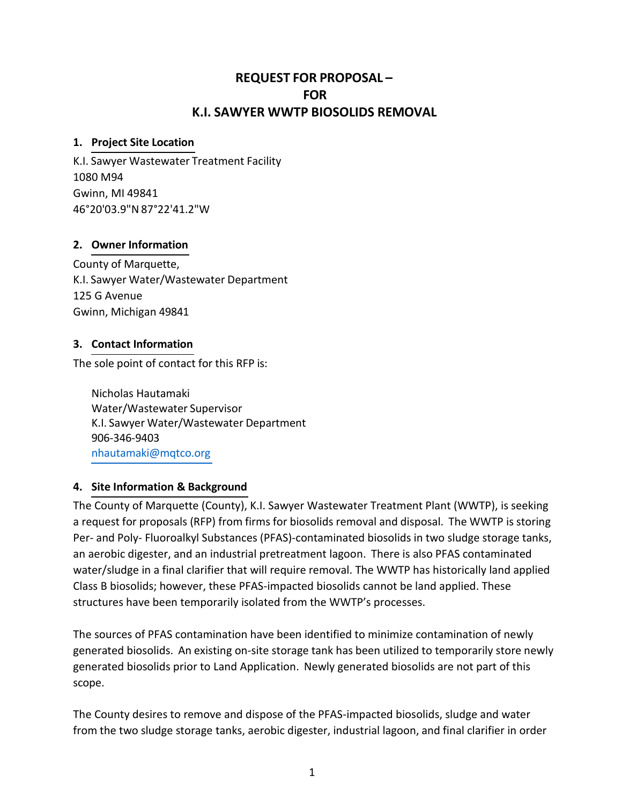# **REQUEST FOR PROPOSAL – FOR K.I. SAWYER WWTP BIOSOLIDS REMOVAL**

#### **1. Project Site Location**

K.I. Sawyer Wastewater Treatment Facility 1080 M94 Gwinn, MI 49841 46°20'03.9"N 87°22'41.2"W

### **2. Owner Information**

County of Marquette, K.I. Sawyer Water/Wastewater Department 125 G Avenue Gwinn, Michigan 49841

## **3. Contact Information**

The sole point of contact for this RFP is:

Nicholas Hautamaki Water/Wastewater Supervisor K.I. Sawyer Water/Wastewater Department 906-346-9403 [nhautamaki@mqtco.org](mailto:nhautamaki@mqtco.org)

### **4. Site Information & Background**

The County of Marquette (County), K.I. Sawyer Wastewater Treatment Plant (WWTP), is seeking a request for proposals (RFP) from firms for biosolids removal and disposal. The WWTP is storing Per- and Poly- Fluoroalkyl Substances (PFAS)-contaminated biosolids in two sludge storage tanks, an aerobic digester, and an industrial pretreatment lagoon. There is also PFAS contaminated water/sludge in a final clarifier that will require removal. The WWTP has historically land applied Class B biosolids; however, these PFAS-impacted biosolids cannot be land applied. These structures have been temporarily isolated from the WWTP's processes.

The sources of PFAS contamination have been identified to minimize contamination of newly generated biosolids. An existing on-site storage tank has been utilized to temporarily store newly generated biosolids prior to Land Application. Newly generated biosolids are not part of this scope.

The County desires to remove and dispose of the PFAS-impacted biosolids, sludge and water from the two sludge storage tanks, aerobic digester, industrial lagoon, and final clarifier in order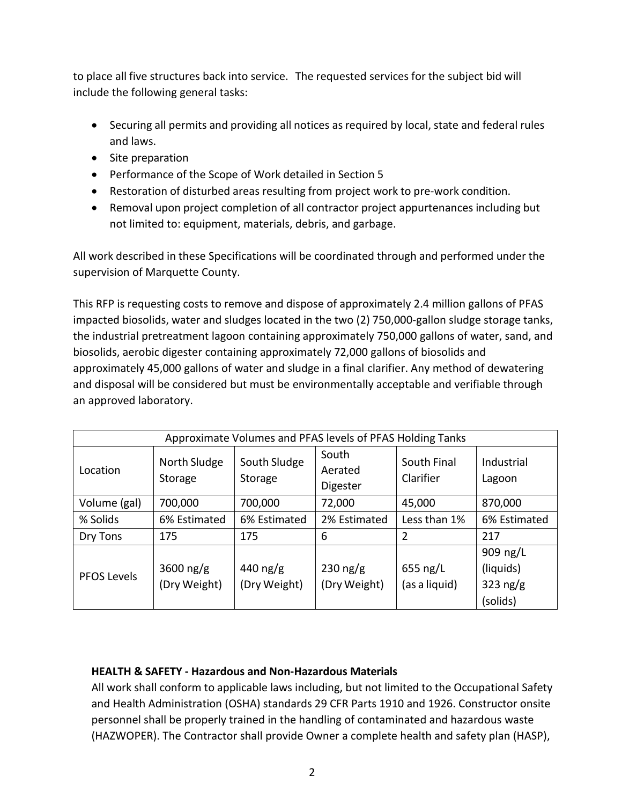to place all five structures back into service. The requested services for the subject bid will include the following general tasks:

- Securing all permits and providing all notices as required by local, state and federal rules and laws.
- Site preparation
- Performance of the Scope of Work detailed in Section 5
- Restoration of disturbed areas resulting from project work to pre-work condition.
- Removal upon project completion of all contractor project appurtenances including but not limited to: equipment, materials, debris, and garbage.

All work described in these Specifications will be coordinated through and performed under the supervision of Marquette County.

This RFP is requesting costs to remove and dispose of approximately 2.4 million gallons of PFAS impacted biosolids, water and sludges located in the two (2) 750,000-gallon sludge storage tanks, the industrial pretreatment lagoon containing approximately 750,000 gallons of water, sand, and biosolids, aerobic digester containing approximately 72,000 gallons of biosolids and approximately 45,000 gallons of water and sludge in a final clarifier. Any method of dewatering and disposal will be considered but must be environmentally acceptable and verifiable through an approved laboratory.

| Approximate Volumes and PFAS levels of PFAS Holding Tanks |                             |                          |                              |                           |                                                 |
|-----------------------------------------------------------|-----------------------------|--------------------------|------------------------------|---------------------------|-------------------------------------------------|
| Location                                                  | North Sludge<br>Storage     | South Sludge<br>Storage  | South<br>Aerated<br>Digester | South Final<br>Clarifier  | Industrial<br>Lagoon                            |
| Volume (gal)                                              | 700,000                     | 700,000                  | 72,000                       | 45,000                    | 870,000                                         |
| % Solids                                                  | 6% Estimated                | 6% Estimated             | 2% Estimated                 | Less than 1%              | 6% Estimated                                    |
| Dry Tons                                                  | 175                         | 175                      | 6                            | 2                         | 217                                             |
| PFOS Levels                                               | 3600 $ng/g$<br>(Dry Weight) | 440 ng/g<br>(Dry Weight) | $230$ ng/g<br>(Dry Weight)   | 655 ng/L<br>(as a liquid) | 909 ng/L<br>(liquids)<br>323 $ng/g$<br>(solids) |

# **HEALTH & SAFETY - Hazardous and Non-Hazardous Materials**

All work shall conform to applicable laws including, but not limited to the Occupational Safety and Health Administration (OSHA) standards 29 CFR Parts 1910 and 1926. Constructor onsite personnel shall be properly trained in the handling of contaminated and hazardous waste (HAZWOPER). The Contractor shall provide Owner a complete health and safety plan (HASP),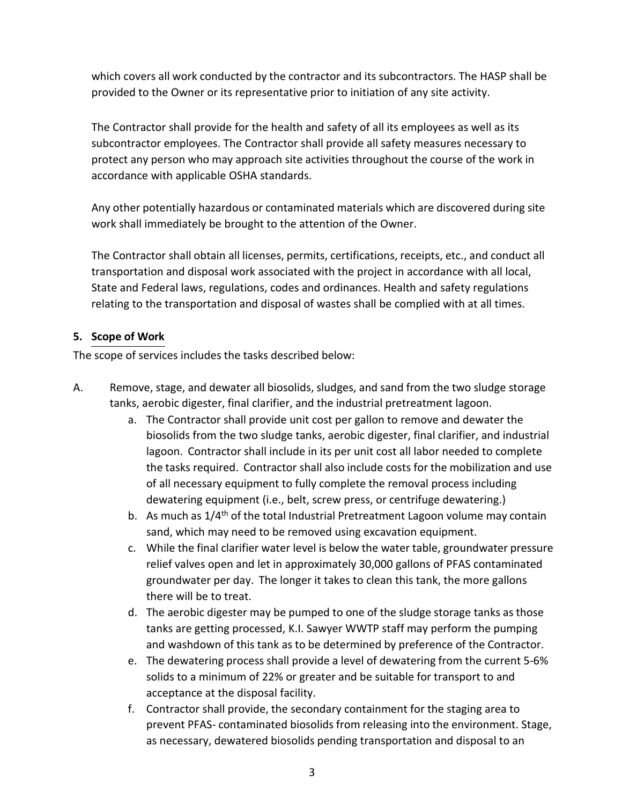which covers all work conducted by the contractor and its subcontractors. The HASP shall be provided to the Owner or its representative prior to initiation of any site activity.

The Contractor shall provide for the health and safety of all its employees as well as its subcontractor employees. The Contractor shall provide all safety measures necessary to protect any person who may approach site activities throughout the course of the work in accordance with applicable OSHA standards.

Any other potentially hazardous or contaminated materials which are discovered during site work shall immediately be brought to the attention of the Owner.

The Contractor shall obtain all licenses, permits, certifications, receipts, etc., and conduct all transportation and disposal work associated with the project in accordance with all local, State and Federal laws, regulations, codes and ordinances. Health and safety regulations relating to the transportation and disposal of wastes shall be complied with at all times.

## **5. Scope of Work**

The scope of services includes the tasks described below:

- A. Remove, stage, and dewater all biosolids, sludges, and sand from the two sludge storage tanks, aerobic digester, final clarifier, and the industrial pretreatment lagoon.
	- a. The Contractor shall provide unit cost per gallon to remove and dewater the biosolids from the two sludge tanks, aerobic digester, final clarifier, and industrial lagoon. Contractor shall include in its per unit cost all labor needed to complete the tasks required. Contractor shall also include costs for the mobilization and use of all necessary equipment to fully complete the removal process including dewatering equipment (i.e., belt, screw press, or centrifuge dewatering.)
	- b. As much as  $1/4<sup>th</sup>$  of the total Industrial Pretreatment Lagoon volume may contain sand, which may need to be removed using excavation equipment.
	- c. While the final clarifier water level is below the water table, groundwater pressure relief valves open and let in approximately 30,000 gallons of PFAS contaminated groundwater per day. The longer it takes to clean this tank, the more gallons there will be to treat.
	- d. The aerobic digester may be pumped to one of the sludge storage tanks as those tanks are getting processed, K.I. Sawyer WWTP staff may perform the pumping and washdown of this tank as to be determined by preference of the Contractor.
	- e. The dewatering process shall provide a level of dewatering from the current 5-6% solids to a minimum of 22% or greater and be suitable for transport to and acceptance at the disposal facility.
	- f. Contractor shall provide, the secondary containment for the staging area to prevent PFAS- contaminated biosolids from releasing into the environment. Stage, as necessary, dewatered biosolids pending transportation and disposal to an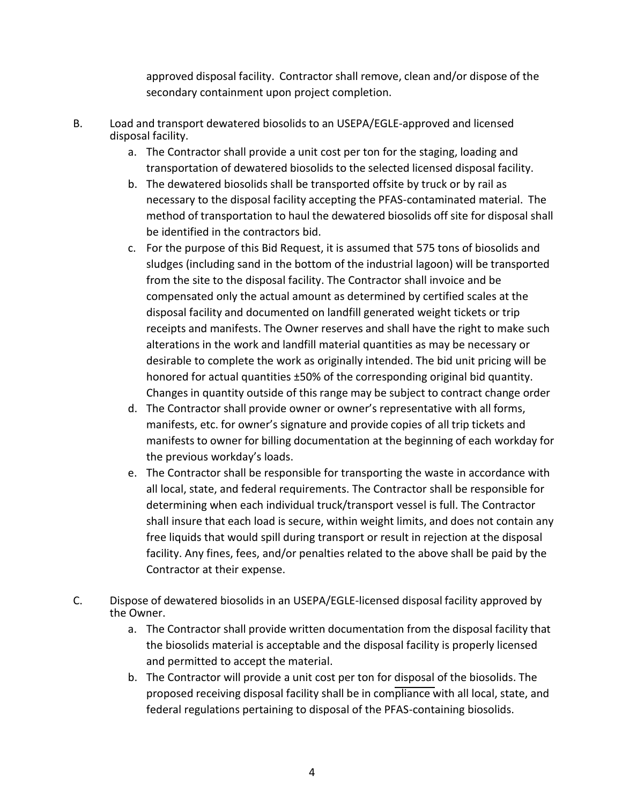approved disposal facility. Contractor shall remove, clean and/or dispose of the secondary containment upon project completion.

- B. Load and transport dewatered biosolids to an USEPA/EGLE-approved and licensed disposal facility.
	- a. The Contractor shall provide a unit cost per ton for the staging, loading and transportation of dewatered biosolids to the selected licensed disposal facility.
	- b. The dewatered biosolids shall be transported offsite by truck or by rail as necessary to the disposal facility accepting the PFAS-contaminated material. The method of transportation to haul the dewatered biosolids off site for disposal shall be identified in the contractors bid.
	- c. For the purpose of this Bid Request, it is assumed that 575 tons of biosolids and sludges (including sand in the bottom of the industrial lagoon) will be transported from the site to the disposal facility. The Contractor shall invoice and be compensated only the actual amount as determined by certified scales at the disposal facility and documented on landfill generated weight tickets or trip receipts and manifests. The Owner reserves and shall have the right to make such alterations in the work and landfill material quantities as may be necessary or desirable to complete the work as originally intended. The bid unit pricing will be honored for actual quantities ±50% of the corresponding original bid quantity. Changes in quantity outside of this range may be subject to contract change order
	- d. The Contractor shall provide owner or owner's representative with all forms, manifests, etc. for owner's signature and provide copies of all trip tickets and manifests to owner for billing documentation at the beginning of each workday for the previous workday's loads.
	- e. The Contractor shall be responsible for transporting the waste in accordance with all local, state, and federal requirements. The Contractor shall be responsible for determining when each individual truck/transport vessel is full. The Contractor shall insure that each load is secure, within weight limits, and does not contain any free liquids that would spill during transport or result in rejection at the disposal facility. Any fines, fees, and/or penalties related to the above shall be paid by the Contractor at their expense.
- C. Dispose of dewatered biosolids in an USEPA/EGLE-licensed disposal facility approved by the Owner.
	- a. The Contractor shall provide written documentation from the disposal facility that the biosolids material is acceptable and the disposal facility is properly licensed and permitted to accept the material.
	- b. The Contractor will provide a unit cost per ton for disposal of the biosolids. The proposed receiving disposal facility shall be in compliance with all local, state, and federal regulations pertaining to disposal of the PFAS-containing biosolids.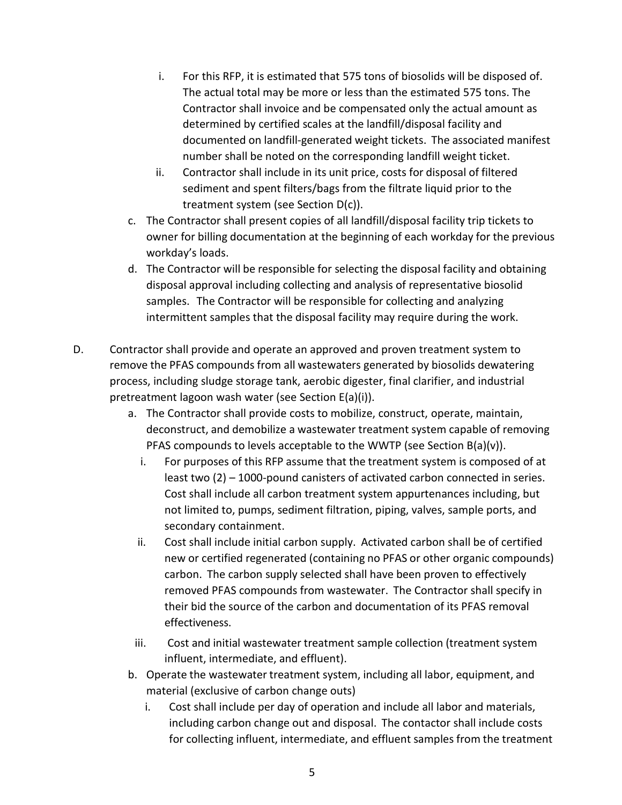- i. For this RFP, it is estimated that 575 tons of biosolids will be disposed of. The actual total may be more or less than the estimated 575 tons. The Contractor shall invoice and be compensated only the actual amount as determined by certified scales at the landfill/disposal facility and documented on landfill-generated weight tickets. The associated manifest number shall be noted on the corresponding landfill weight ticket.
- ii. Contractor shall include in its unit price, costs for disposal of filtered sediment and spent filters/bags from the filtrate liquid prior to the treatment system (see Section D(c)).
- c. The Contractor shall present copies of all landfill/disposal facility trip tickets to owner for billing documentation at the beginning of each workday for the previous workday's loads.
- d. The Contractor will be responsible for selecting the disposal facility and obtaining disposal approval including collecting and analysis of representative biosolid samples. The Contractor will be responsible for collecting and analyzing intermittent samples that the disposal facility may require during the work.
- D. Contractor shall provide and operate an approved and proven treatment system to remove the PFAS compounds from all wastewaters generated by biosolids dewatering process, including sludge storage tank, aerobic digester, final clarifier, and industrial pretreatment lagoon wash water (see Section E(a)(i)).
	- a. The Contractor shall provide costs to mobilize, construct, operate, maintain, deconstruct, and demobilize a wastewater treatment system capable of removing PFAS compounds to levels acceptable to the WWTP (see Section  $B(a)(v)$ ).
		- i. For purposes of this RFP assume that the treatment system is composed of at least two (2) – 1000-pound canisters of activated carbon connected in series. Cost shall include all carbon treatment system appurtenances including, but not limited to, pumps, sediment filtration, piping, valves, sample ports, and secondary containment.
		- ii. Cost shall include initial carbon supply. Activated carbon shall be of certified new or certified regenerated (containing no PFAS or other organic compounds) carbon. The carbon supply selected shall have been proven to effectively removed PFAS compounds from wastewater. The Contractor shall specify in their bid the source of the carbon and documentation of its PFAS removal effectiveness.
	- iii. Cost and initial wastewater treatment sample collection (treatment system influent, intermediate, and effluent).
	- b. Operate the wastewater treatment system, including all labor, equipment, and material (exclusive of carbon change outs)
		- i. Cost shall include per day of operation and include all labor and materials, including carbon change out and disposal. The contactor shall include costs for collecting influent, intermediate, and effluent samples from the treatment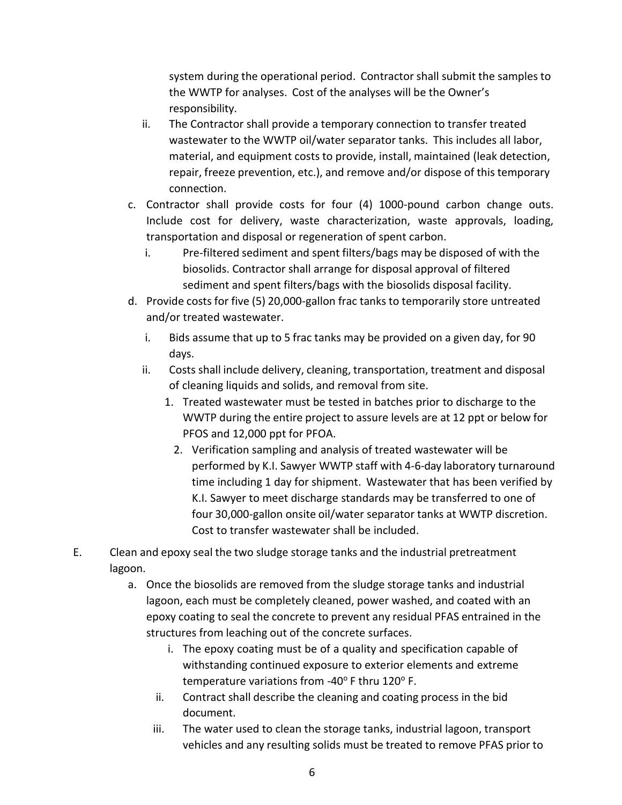system during the operational period. Contractor shall submit the samples to the WWTP for analyses. Cost of the analyses will be the Owner's responsibility.

- ii. The Contractor shall provide a temporary connection to transfer treated wastewater to the WWTP oil/water separator tanks. This includes all labor, material, and equipment costs to provide, install, maintained (leak detection, repair, freeze prevention, etc.), and remove and/or dispose of this temporary connection.
- c. Contractor shall provide costs for four (4) 1000-pound carbon change outs. Include cost for delivery, waste characterization, waste approvals, loading, transportation and disposal or regeneration of spent carbon.
	- i. Pre-filtered sediment and spent filters/bags may be disposed of with the biosolids. Contractor shall arrange for disposal approval of filtered sediment and spent filters/bags with the biosolids disposal facility.
- d. Provide costs for five (5) 20,000-gallon frac tanks to temporarily store untreated and/or treated wastewater.
	- i. Bids assume that up to 5 frac tanks may be provided on a given day, for 90 days.
	- ii. Costs shall include delivery, cleaning, transportation, treatment and disposal of cleaning liquids and solids, and removal from site.
		- 1. Treated wastewater must be tested in batches prior to discharge to the WWTP during the entire project to assure levels are at 12 ppt or below for PFOS and 12,000 ppt for PFOA.
			- 2. Verification sampling and analysis of treated wastewater will be performed by K.I. Sawyer WWTP staff with 4-6-day laboratory turnaround time including 1 day for shipment. Wastewater that has been verified by K.I. Sawyer to meet discharge standards may be transferred to one of four 30,000-gallon onsite oil/water separator tanks at WWTP discretion. Cost to transfer wastewater shall be included.
- E. Clean and epoxy seal the two sludge storage tanks and the industrial pretreatment lagoon.
	- a. Once the biosolids are removed from the sludge storage tanks and industrial lagoon, each must be completely cleaned, power washed, and coated with an epoxy coating to seal the concrete to prevent any residual PFAS entrained in the structures from leaching out of the concrete surfaces.
		- i. The epoxy coating must be of a quality and specification capable of withstanding continued exposure to exterior elements and extreme temperature variations from -40 $\degree$ F thru 120 $\degree$ F.
		- ii. Contract shall describe the cleaning and coating process in the bid document.
		- iii. The water used to clean the storage tanks, industrial lagoon, transport vehicles and any resulting solids must be treated to remove PFAS prior to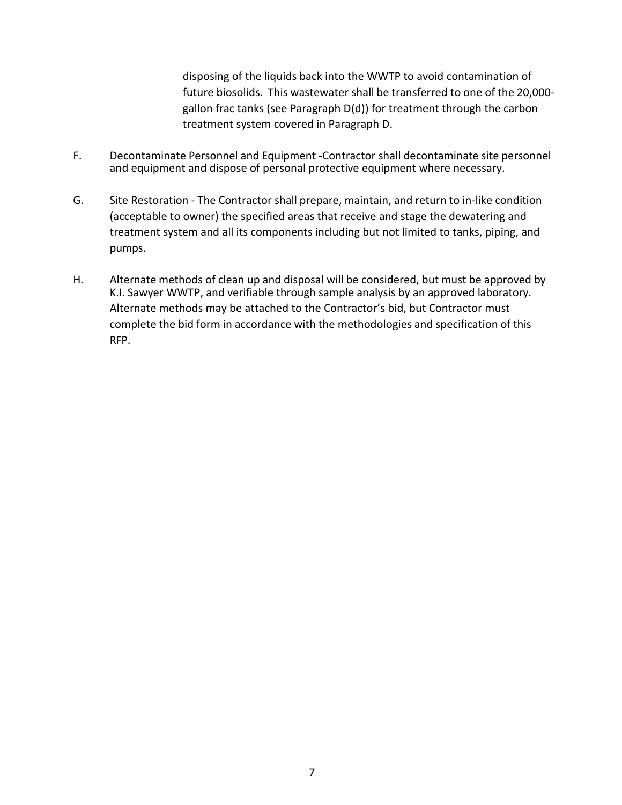disposing of the liquids back into the WWTP to avoid contamination of future biosolids. This wastewater shall be transferred to one of the 20,000 gallon frac tanks (see Paragraph D(d)) for treatment through the carbon treatment system covered in Paragraph D.

- F. Decontaminate Personnel and Equipment -Contractor shall decontaminate site personnel and equipment and dispose of personal protective equipment where necessary.
- G. Site Restoration The Contractor shall prepare, maintain, and return to in-like condition (acceptable to owner) the specified areas that receive and stage the dewatering and treatment system and all its components including but not limited to tanks, piping, and pumps.
- H. Alternate methods of clean up and disposal will be considered, but must be approved by K.I. Sawyer WWTP, and verifiable through sample analysis by an approved laboratory. Alternate methods may be attached to the Contractor's bid, but Contractor must complete the bid form in accordance with the methodologies and specification of this RFP.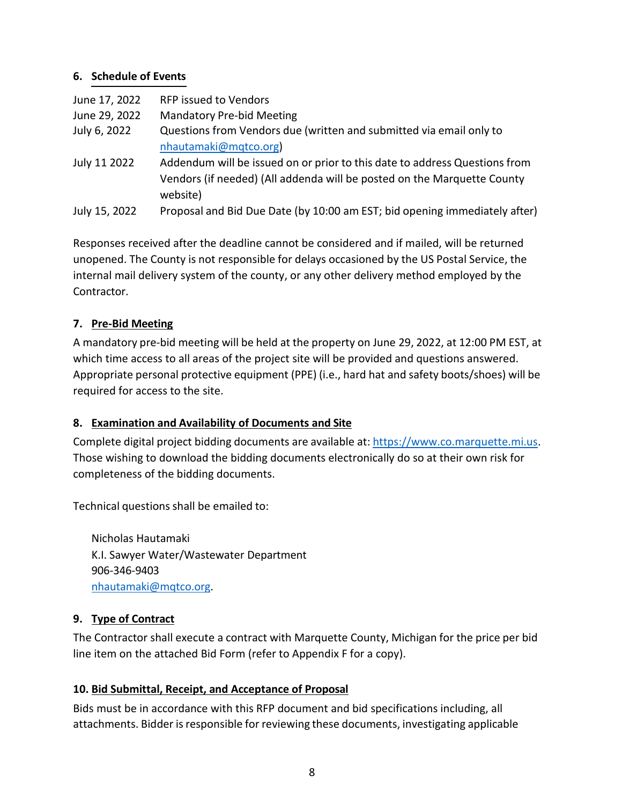## **6. Schedule of Events**

| June 17, 2022 | <b>RFP issued to Vendors</b>                                                        |
|---------------|-------------------------------------------------------------------------------------|
| June 29, 2022 | <b>Mandatory Pre-bid Meeting</b>                                                    |
| July 6, 2022  | Questions from Vendors due (written and submitted via email only to                 |
|               | nhautamaki@mqtco.org)                                                               |
| July 11 2022  | Addendum will be issued on or prior to this date to address Questions from          |
|               | Vendors (if needed) (All addenda will be posted on the Marquette County<br>website) |
| July 15, 2022 | Proposal and Bid Due Date (by 10:00 am EST; bid opening immediately after)          |

Responses received after the deadline cannot be considered and if mailed, will be returned unopened. The County is not responsible for delays occasioned by the US Postal Service, the internal mail delivery system of the county, or any other delivery method employed by the Contractor.

## **7. Pre-Bid Meeting**

A mandatory pre-bid meeting will be held at the property on June 29, 2022, at 12:00 PM EST, at which time access to all areas of the project site will be provided and questions answered. Appropriate personal protective equipment (PPE) (i.e., hard hat and safety boots/shoes) will be required for access to the site.

### **8. Examination and Availability of Documents and Site**

Complete digital project bidding documents are available at: [https://www.co.marquette.mi.us.](https://www.co.marquette.mi.us/) Those wishing to download the bidding documents electronically do so at their own risk for completeness of the bidding documents.

Technical questions shall be emailed to:

Nicholas Hautamaki K.I. Sawyer Water/Wastewater Department 906-346-9403 [nhautamaki@mqtco.org.](mailto:nhautamaki@mqtco.org)

### **9. Type of Contract**

The Contractor shall execute a contract with Marquette County, Michigan for the price per bid line item on the attached Bid Form (refer to Appendix F for a copy).

# **10. Bid Submittal, Receipt, and Acceptance of Proposal**

Bids must be in accordance with this RFP document and bid specifications including, all attachments. Bidder is responsible for reviewing these documents, investigating applicable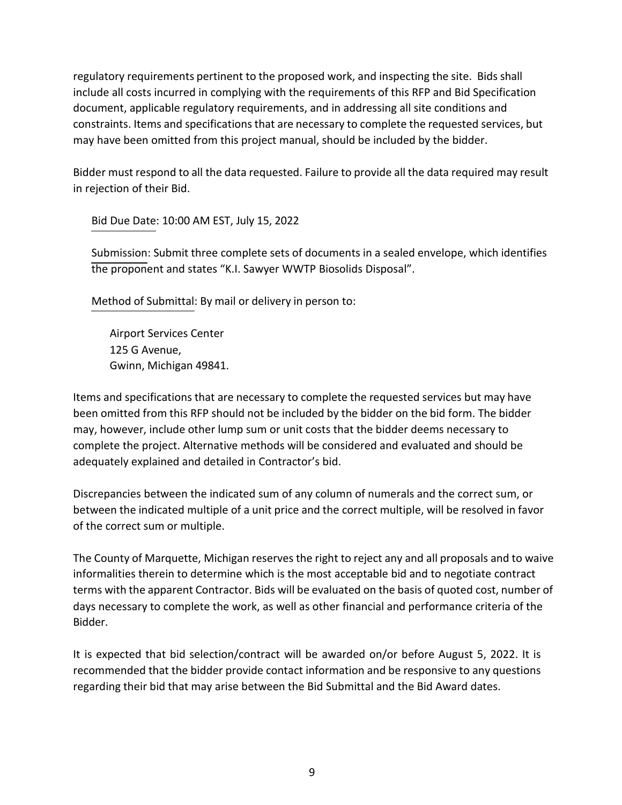regulatory requirements pertinent to the proposed work, and inspecting the site. Bids shall include all costs incurred in complying with the requirements of this RFP and Bid Specification document, applicable regulatory requirements, and in addressing all site conditions and constraints. Items and specificationsthat are necessary to complete the requested services, but may have been omitted from this project manual, should be included by the bidder.

Bidder must respond to all the data requested. Failure to provide all the data required may result in rejection of their Bid.

Bid Due Date: 10:00 AM EST, July 15, 2022

Submission: Submit three complete sets of documents in a sealed envelope, which identifies the proponent and states "K.I. Sawyer WWTP Biosolids Disposal".

Method of Submittal: By mail or delivery in person to:

Airport Services Center 125 G Avenue, Gwinn, Michigan 49841.

Items and specifications that are necessary to complete the requested services but may have been omitted from this RFP should not be included by the bidder on the bid form. The bidder may, however, include other lump sum or unit costs that the bidder deems necessary to complete the project. Alternative methods will be considered and evaluated and should be adequately explained and detailed in Contractor's bid.

Discrepancies between the indicated sum of any column of numerals and the correct sum, or between the indicated multiple of a unit price and the correct multiple, will be resolved in favor of the correct sum or multiple.

The County of Marquette, Michigan reserves the right to reject any and all proposals and to waive informalities therein to determine which is the most acceptable bid and to negotiate contract terms with the apparent Contractor. Bids will be evaluated on the basis of quoted cost, number of days necessary to complete the work, as well as other financial and performance criteria of the Bidder.

It is expected that bid selection/contract will be awarded on/or before August 5, 2022. It is recommended that the bidder provide contact information and be responsive to any questions regarding their bid that may arise between the Bid Submittal and the Bid Award dates.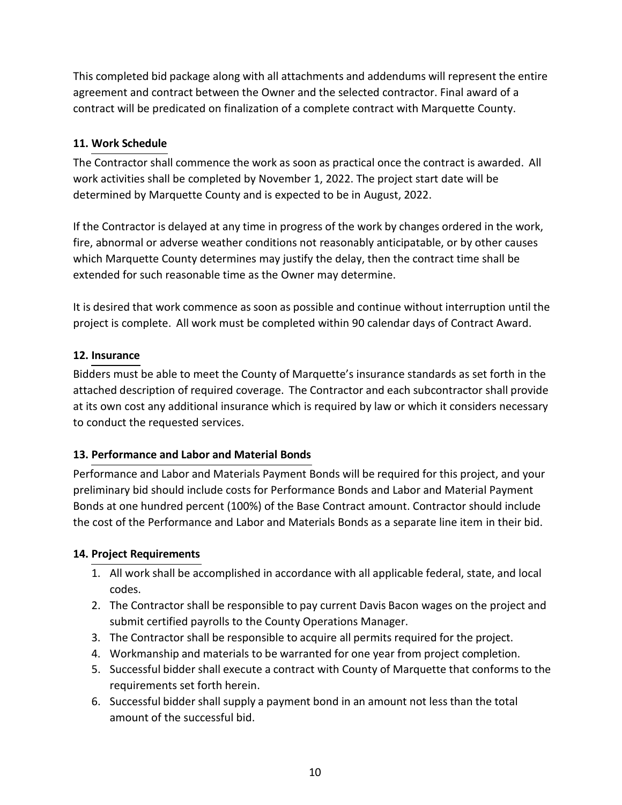This completed bid package along with all attachments and addendums will represent the entire agreement and contract between the Owner and the selected contractor. Final award of a contract will be predicated on finalization of a complete contract with Marquette County.

# **11. Work Schedule**

The Contractor shall commence the work as soon as practical once the contract is awarded. All work activities shall be completed by November 1, 2022. The project start date will be determined by Marquette County and is expected to be in August, 2022.

If the Contractor is delayed at any time in progress of the work by changes ordered in the work, fire, abnormal or adverse weather conditions not reasonably anticipatable, or by other causes which Marquette County determines may justify the delay, then the contract time shall be extended for such reasonable time as the Owner may determine.

It is desired that work commence as soon as possible and continue without interruption until the project is complete. All work must be completed within 90 calendar days of Contract Award.

# **12. Insurance**

Bidders must be able to meet the County of Marquette's insurance standards as set forth in the attached description of required coverage. The Contractor and each subcontractor shall provide at its own cost any additional insurance which is required by law or which it considers necessary to conduct the requested services.

# **13. Performance and Labor and Material Bonds**

Performance and Labor and Materials Payment Bonds will be required for this project, and your preliminary bid should include costs for Performance Bonds and Labor and Material Payment Bonds at one hundred percent (100%) of the Base Contract amount. Contractor should include the cost of the Performance and Labor and Materials Bonds as a separate line item in their bid.

# **14. Project Requirements**

- 1. All work shall be accomplished in accordance with all applicable federal, state, and local codes.
- 2. The Contractor shall be responsible to pay current Davis Bacon wages on the project and submit certified payrolls to the County Operations Manager.
- 3. The Contractor shall be responsible to acquire all permits required for the project.
- 4. Workmanship and materials to be warranted for one year from project completion.
- 5. Successful bidder shall execute a contract with County of Marquette that conforms to the requirements set forth herein.
- 6. Successful bidder shall supply a payment bond in an amount not less than the total amount of the successful bid.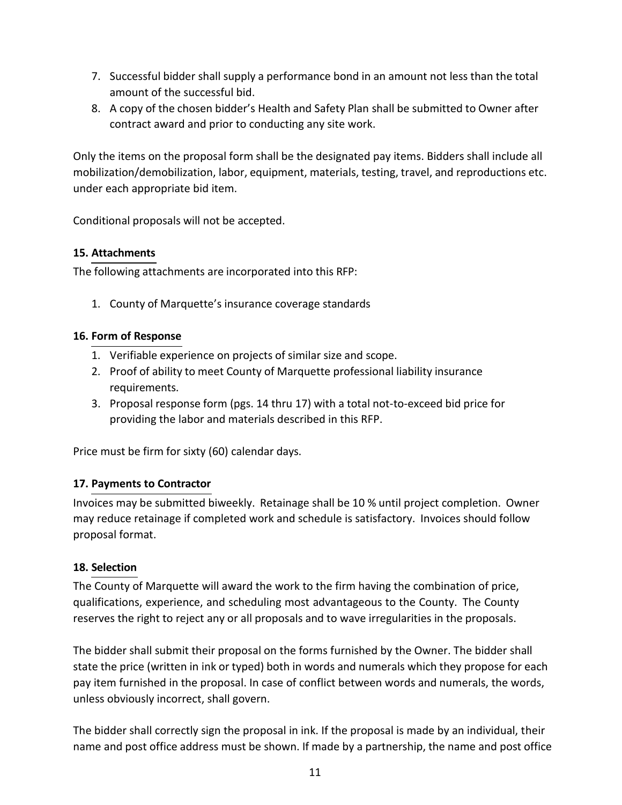- 7. Successful bidder shall supply a performance bond in an amount not less than the total amount of the successful bid.
- 8. A copy of the chosen bidder's Health and Safety Plan shall be submitted to Owner after contract award and prior to conducting any site work.

Only the items on the proposal form shall be the designated pay items. Bidders shall include all mobilization/demobilization, labor, equipment, materials, testing, travel, and reproductions etc. under each appropriate bid item.

Conditional proposals will not be accepted.

### **15. Attachments**

The following attachments are incorporated into this RFP:

1. County of Marquette's insurance coverage standards

## **16. Form of Response**

- 1. Verifiable experience on projects of similar size and scope.
- 2. Proof of ability to meet County of Marquette professional liability insurance requirements.
- 3. Proposal response form (pgs. 14 thru 17) with a total not-to-exceed bid price for providing the labor and materials described in this RFP.

Price must be firm for sixty (60) calendar days.

# **17. Payments to Contractor**

Invoices may be submitted biweekly. Retainage shall be 10 % until project completion. Owner may reduce retainage if completed work and schedule is satisfactory. Invoices should follow proposal format.

### **18. Selection**

The County of Marquette will award the work to the firm having the combination of price, qualifications, experience, and scheduling most advantageous to the County. The County reserves the right to reject any or all proposals and to wave irregularities in the proposals.

The bidder shall submit their proposal on the forms furnished by the Owner. The bidder shall state the price (written in ink or typed) both in words and numerals which they propose for each pay item furnished in the proposal. In case of conflict between words and numerals, the words, unless obviously incorrect, shall govern.

The bidder shall correctly sign the proposal in ink. If the proposal is made by an individual, their name and post office address must be shown. If made by a partnership, the name and post office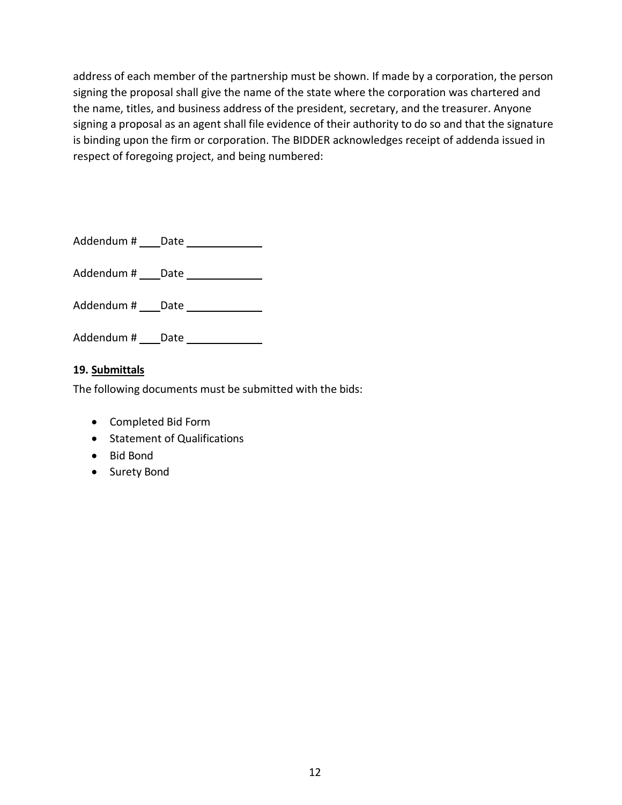address of each member of the partnership must be shown. If made by a corporation, the person signing the proposal shall give the name of the state where the corporation was chartered and the name, titles, and business address of the president, secretary, and the treasurer. Anyone signing a proposal as an agent shall file evidence of their authority to do so and that the signature is binding upon the firm or corporation. The BIDDER acknowledges receipt of addenda issued in respect of foregoing project, and being numbered:

Addendum # \_\_\_\_ Date \_\_\_\_\_\_\_\_\_\_\_\_\_\_

Addendum # \_\_\_ Date \_\_\_\_\_\_\_\_\_\_\_\_\_

Addendum # \_\_\_ Date \_\_\_\_\_\_\_\_\_\_\_\_\_

Addendum # \_\_\_ Date \_\_\_\_\_\_\_\_\_\_\_\_\_

## **19. Submittals**

The following documents must be submitted with the bids:

- Completed Bid Form
- Statement of Qualifications
- Bid Bond
- Surety Bond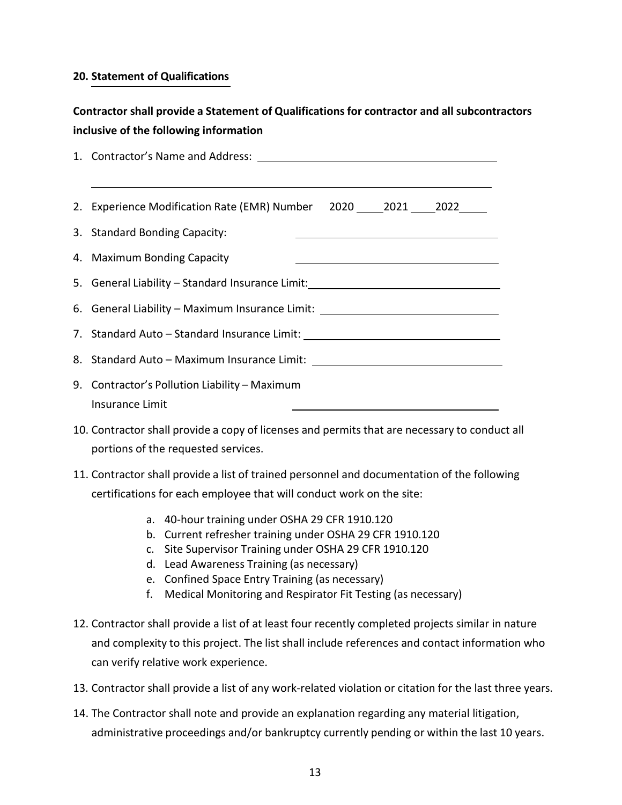#### **20. Statement of Qualifications**

# **Contractor shall provide a Statement of Qualificationsfor contractor and all subcontractors inclusive of the following information**

| 2. Experience Modification Rate (EMR) Number 2020 2021 2022                                                                                          |  |  |
|------------------------------------------------------------------------------------------------------------------------------------------------------|--|--|
| 3. Standard Bonding Capacity:                                                                                                                        |  |  |
| 4. Maximum Bonding Capacity<br><u> 1989 - Johann Harry Harry Harry Harry Harry Harry Harry Harry Harry Harry Harry Harry Harry Harry Harry Harry</u> |  |  |
|                                                                                                                                                      |  |  |
| 6. General Liability - Maximum Insurance Limit: ________________________________                                                                     |  |  |
|                                                                                                                                                      |  |  |
| 8. Standard Auto - Maximum Insurance Limit: Latin Limitian Automatic Automatic Automatic Automatic Automatic A                                       |  |  |
| 9. Contractor's Pollution Liability – Maximum                                                                                                        |  |  |
| Insurance Limit                                                                                                                                      |  |  |

- 10. Contractor shall provide a copy of licenses and permits that are necessary to conduct all portions of the requested services.
- 11. Contractor shall provide a list of trained personnel and documentation of the following certifications for each employee that will conduct work on the site:
	- a. 40-hour training under OSHA 29 CFR 1910.120
	- b. Current refresher training under OSHA 29 CFR 1910.120
	- c. Site Supervisor Training under OSHA 29 CFR 1910.120
	- d. Lead Awareness Training (as necessary)
	- e. Confined Space Entry Training (as necessary)
	- f. Medical Monitoring and Respirator Fit Testing (as necessary)
- 12. Contractor shall provide a list of at least four recently completed projects similar in nature and complexity to this project. The list shall include references and contact information who can verify relative work experience.
- 13. Contractor shall provide a list of any work-related violation or citation for the last three years.
- 14. The Contractor shall note and provide an explanation regarding any material litigation, administrative proceedings and/or bankruptcy currently pending or within the last 10 years.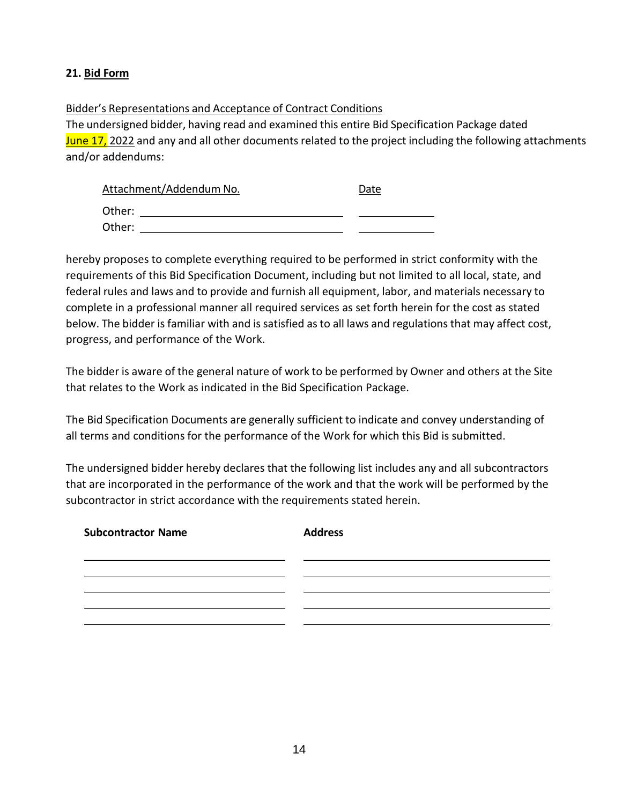## **21. Bid Form**

#### Bidder's Representations and Acceptance of Contract Conditions

The undersigned bidder, having read and examined this entire Bid Specification Package dated June 17, 2022 and any and all other documents related to the project including the following attachments and/or addendums:

| Attachment/Addendum No. | Date |
|-------------------------|------|
| Other:                  |      |
| Other:                  |      |

hereby proposes to complete everything required to be performed in strict conformity with the requirements of this Bid Specification Document, including but not limited to all local, state, and federal rules and laws and to provide and furnish all equipment, labor, and materials necessary to complete in a professional manner all required services as set forth herein for the cost as stated below. The bidder is familiar with and is satisfied as to all laws and regulations that may affect cost, progress, and performance of the Work.

The bidder is aware of the general nature of work to be performed by Owner and others at the Site that relates to the Work as indicated in the Bid Specification Package.

The Bid Specification Documents are generally sufficient to indicate and convey understanding of all terms and conditions for the performance of the Work for which this Bid is submitted.

The undersigned bidder hereby declares that the following list includes any and all subcontractors that are incorporated in the performance of the work and that the work will be performed by the subcontractor in strict accordance with the requirements stated herein.

| <b>Subcontractor Name</b> | <b>Address</b> |
|---------------------------|----------------|
|                           |                |
|                           |                |
|                           |                |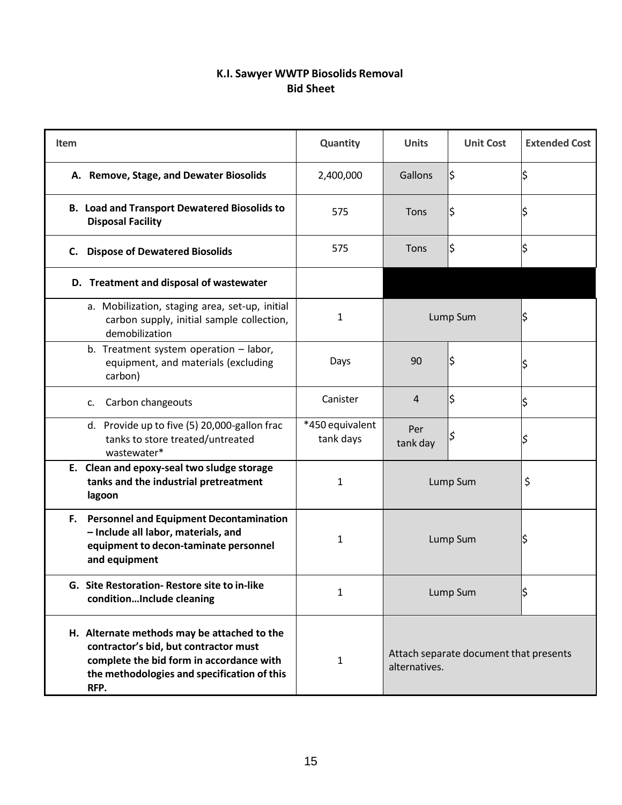# **K.I. Sawyer WWTP Biosolids Removal Bid Sheet**

| <b>Item</b>                                                                                                                                                                             | Quantity                     | <b>Units</b>    | <b>Unit Cost</b>                       | <b>Extended Cost</b> |
|-----------------------------------------------------------------------------------------------------------------------------------------------------------------------------------------|------------------------------|-----------------|----------------------------------------|----------------------|
| A. Remove, Stage, and Dewater Biosolids                                                                                                                                                 | 2,400,000                    | Gallons         | \$                                     |                      |
| <b>B. Load and Transport Dewatered Biosolids to</b><br><b>Disposal Facility</b>                                                                                                         | 575                          | Tons            | \$                                     |                      |
| C. Dispose of Dewatered Biosolids                                                                                                                                                       | 575                          | Tons            | \$                                     |                      |
| D. Treatment and disposal of wastewater                                                                                                                                                 |                              |                 |                                        |                      |
| a. Mobilization, staging area, set-up, initial<br>carbon supply, initial sample collection,<br>demobilization                                                                           | 1                            |                 | Lump Sum                               | \$                   |
| b. Treatment system operation - labor,<br>equipment, and materials (excluding<br>carbon)                                                                                                | Days                         | 90              |                                        |                      |
| Carbon changeouts<br>c.                                                                                                                                                                 | Canister                     | $\overline{4}$  | \$                                     |                      |
| d. Provide up to five (5) 20,000-gallon frac<br>tanks to store treated/untreated<br>wastewater*                                                                                         | *450 equivalent<br>tank days | Per<br>tank day |                                        |                      |
| E. Clean and epoxy-seal two sludge storage<br>tanks and the industrial pretreatment<br>lagoon                                                                                           | 1                            |                 | Lump Sum                               | \$                   |
| F. Personnel and Equipment Decontamination<br>- Include all labor, materials, and<br>equipment to decon-taminate personnel<br>and equipment                                             | 1                            |                 | Lump Sum                               | \$                   |
| G. Site Restoration-Restore site to in-like<br>conditionInclude cleaning                                                                                                                | 1                            |                 | Lump Sum                               | \$                   |
| H. Alternate methods may be attached to the<br>contractor's bid, but contractor must<br>complete the bid form in accordance with<br>the methodologies and specification of this<br>RFP. | 1                            | alternatives.   | Attach separate document that presents |                      |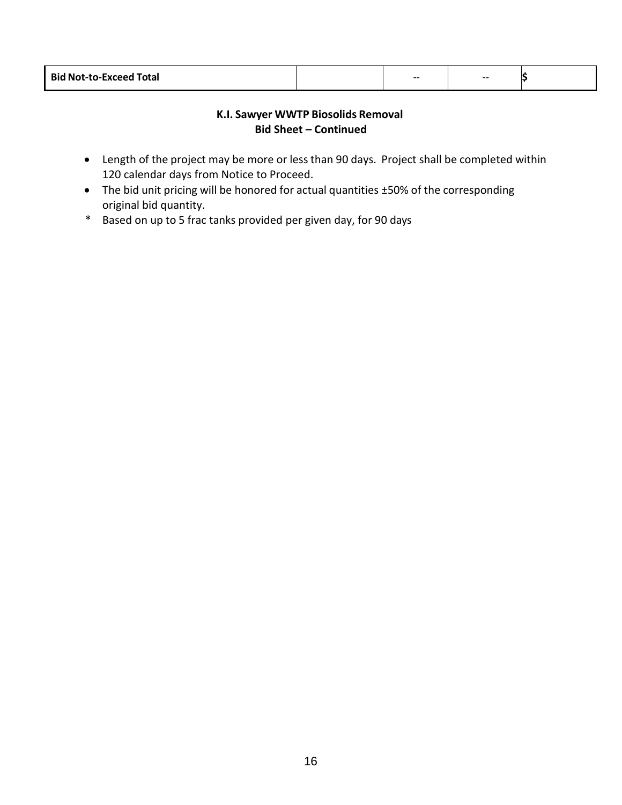| <b>Bid Not-to-Exceed Total</b> |  | -- | $- -$ |  |  |
|--------------------------------|--|----|-------|--|--|
|--------------------------------|--|----|-------|--|--|

### **K.I. Sawyer WWTP Biosolids Removal Bid Sheet – Continued**

- Length of the project may be more or less than 90 days. Project shall be completed within 120 calendar days from Notice to Proceed.
- The bid unit pricing will be honored for actual quantities ±50% of the corresponding original bid quantity.
- \* Based on up to 5 frac tanks provided per given day, for 90 days